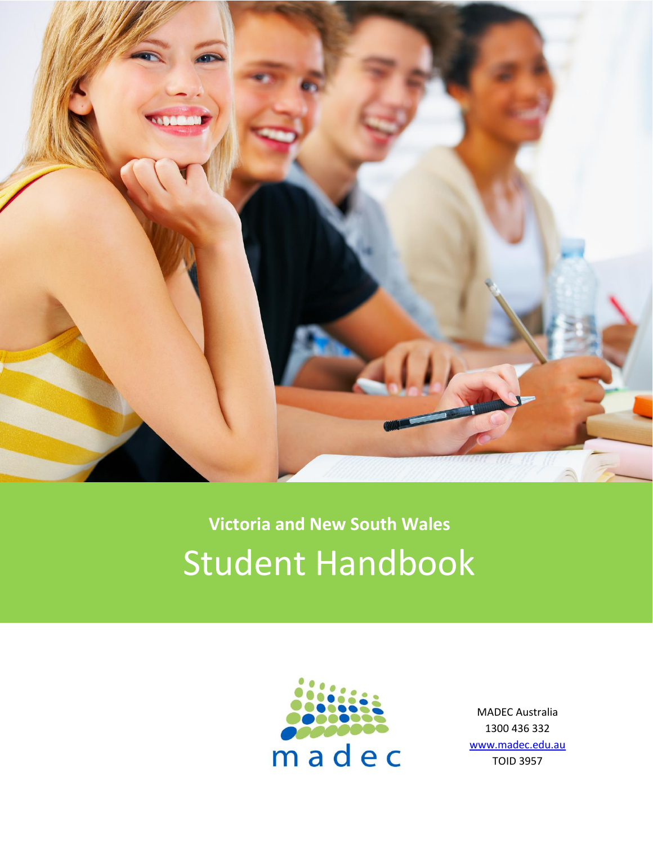

# **Victoria and New South Wales** Student Handbook



MADEC Australia 1300 436 332 [www.madec.edu.au](http://www.madec.edu.au/) TOID 3957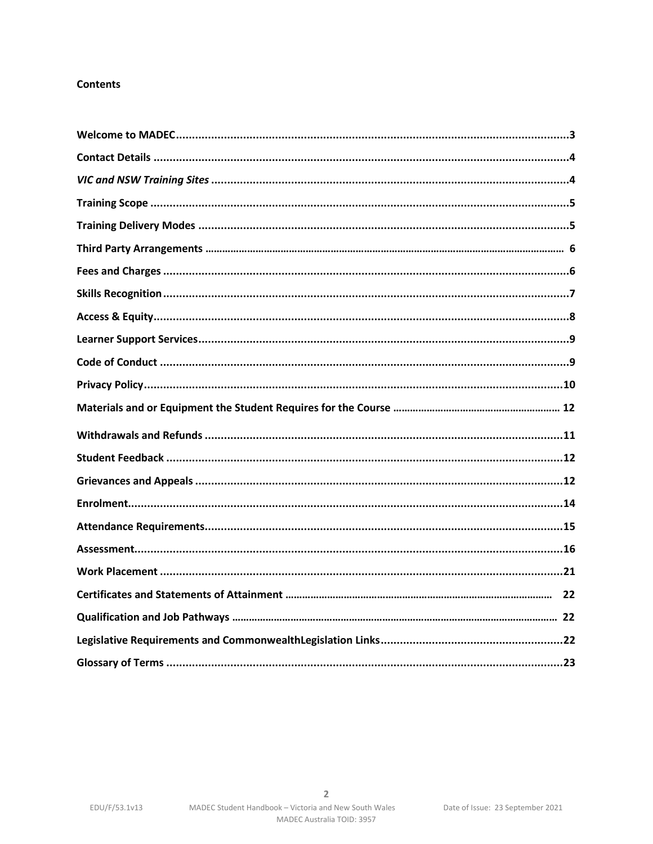## **Contents**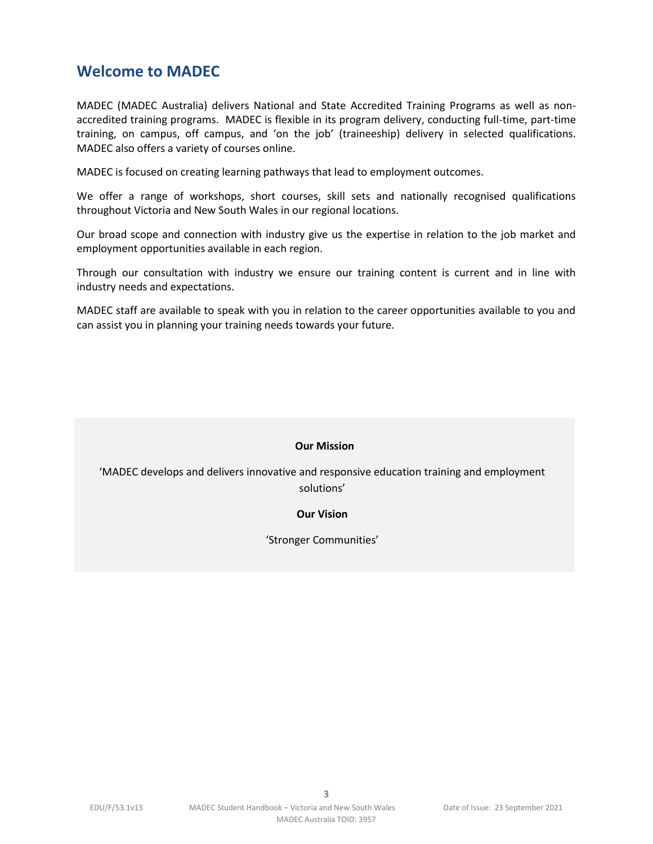# <span id="page-2-0"></span>**Welcome to MADEC**

MADEC (MADEC Australia) delivers National and State Accredited Training Programs as well as nonaccredited training programs. MADEC is flexible in its program delivery, conducting full-time, part-time training, on campus, off campus, and 'on the job' (traineeship) delivery in selected qualifications. MADEC also offers a variety of courses online.

MADEC is focused on creating learning pathways that lead to employment outcomes.

We offer a range of workshops, short courses, skill sets and nationally recognised qualifications throughout Victoria and New South Wales in our regional locations.

Our broad scope and connection with industry give us the expertise in relation to the job market and employment opportunities available in each region.

Through our consultation with industry we ensure our training content is current and in line with industry needs and expectations.

MADEC staff are available to speak with you in relation to the career opportunities available to you and can assist you in planning your training needs towards your future.

#### **Our Mission**

'MADEC develops and delivers innovative and responsive education training and employment solutions'

#### **Our Vision**

'Stronger Communities'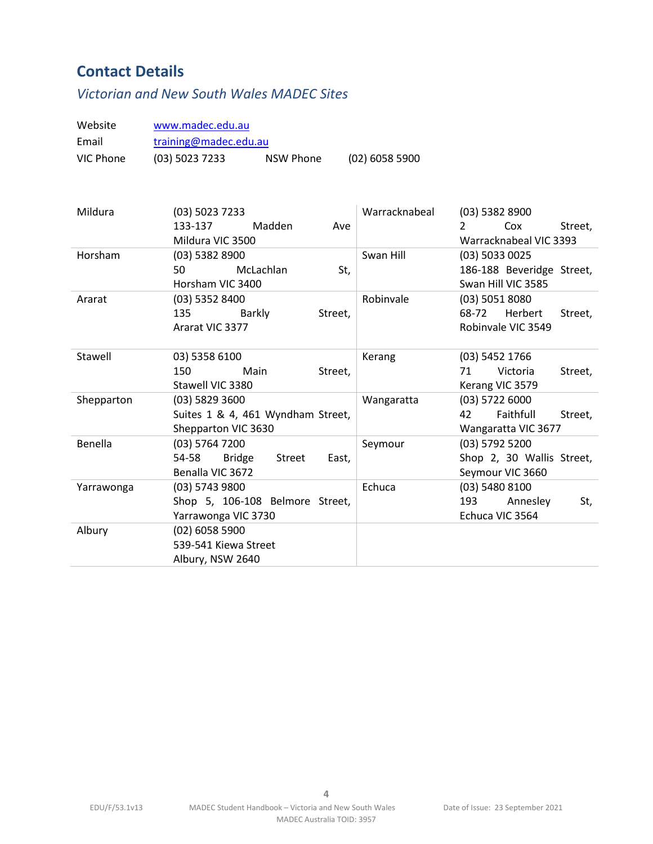# <span id="page-3-0"></span>**Contact Details**

# <span id="page-3-1"></span>*Victorian and New South Wales MADEC Sites*

<span id="page-3-2"></span>

| Website    | www.madec.edu.au                                 |                |                                 |
|------------|--------------------------------------------------|----------------|---------------------------------|
| Email      | training@madec.edu.au                            |                |                                 |
| VIC Phone  | (03) 5023 7233<br><b>NSW Phone</b>               | (02) 6058 5900 |                                 |
|            |                                                  |                |                                 |
| Mildura    | (03) 5023 7233                                   | Warracknabeal  | $(03)$ 5382 8900                |
|            | 133-137<br>Madden<br>Ave                         |                | Cox<br>$\mathcal{P}$<br>Street, |
|            | Mildura VIC 3500                                 |                | Warracknabeal VIC 3393          |
| Horsham    | (03) 5382 8900                                   | Swan Hill      | (03) 5033 0025                  |
|            | 50<br>McLachlan<br>St,                           |                | 186-188 Beveridge Street,       |
|            | Horsham VIC 3400                                 |                | Swan Hill VIC 3585              |
| Ararat     | (03) 5352 8400                                   | Robinvale      | (03) 5051 8080                  |
|            | 135<br>Street,<br>Barkly                         |                | 68-72<br>Herbert<br>Street,     |
|            | Ararat VIC 3377                                  |                | Robinvale VIC 3549              |
| Stawell    | 03) 5358 6100                                    | Kerang         | (03) 5452 1766                  |
|            | 150<br>Main<br>Street,                           |                | 71<br>Victoria<br>Street,       |
|            | Stawell VIC 3380                                 |                | Kerang VIC 3579                 |
| Shepparton | (03) 5829 3600                                   | Wangaratta     | $(03)$ 5722 6000                |
|            | Suites 1 & 4, 461 Wyndham Street,                |                | Faithfull<br>42<br>Street,      |
|            | Shepparton VIC 3630                              |                | Wangaratta VIC 3677             |
| Benella    | (03) 5764 7200                                   | Seymour        | (03) 5792 5200                  |
|            | <b>Bridge</b><br>54-58<br><b>Street</b><br>East, |                | Shop 2, 30 Wallis Street,       |
|            | Benalla VIC 3672                                 |                | Seymour VIC 3660                |
| Yarrawonga | $(03)$ 5743 9800                                 | Echuca         | (03) 5480 8100                  |
|            | Shop 5, 106-108 Belmore Street,                  |                | 193<br>Annesley<br>St,          |
|            | Yarrawonga VIC 3730                              |                | Echuca VIC 3564                 |
| Albury     | (02) 6058 5900                                   |                |                                 |
|            | 539-541 Kiewa Street                             |                |                                 |
|            | Albury, NSW 2640                                 |                |                                 |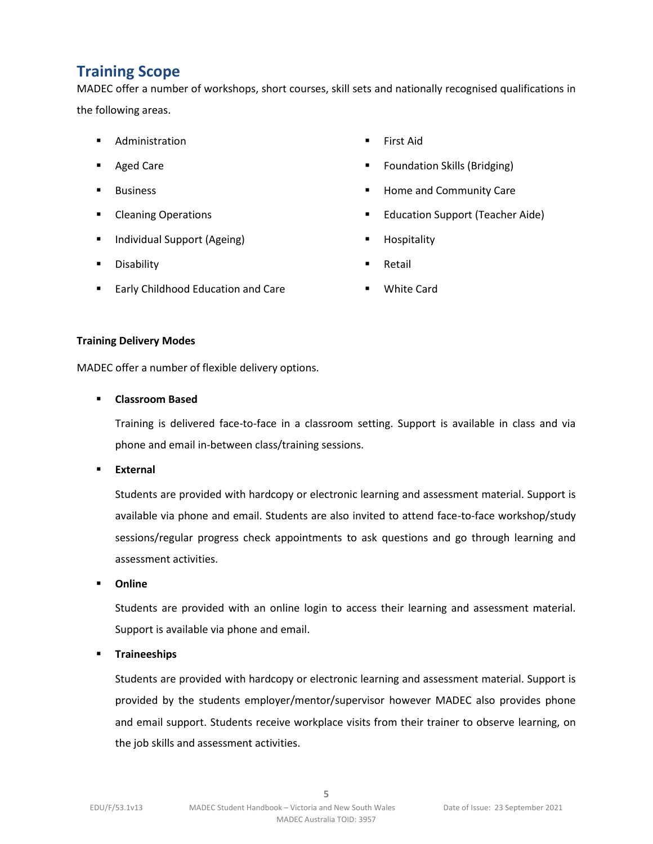# **Training Scope**

MADEC offer a number of workshops, short courses, skill sets and nationally recognised qualifications in the following areas.

- Administration
- Aged Care
- Business
- Cleaning Operations
- Individual Support (Ageing)
- Disability
- Early Childhood Education and Care
- First Aid
- Foundation Skills (Bridging)
- Home and Community Care
- **Education Support (Teacher Aide)**
- **Hospitality**
- **Retail**
- **White Card**

#### <span id="page-4-0"></span>**Training Delivery Modes**

MADEC offer a number of flexible delivery options.

#### ▪ **Classroom Based**

Training is delivered face-to-face in a classroom setting. Support is available in class and via phone and email in-between class/training sessions.

▪ **External**

Students are provided with hardcopy or electronic learning and assessment material. Support is available via phone and email. Students are also invited to attend face-to-face workshop/study sessions/regular progress check appointments to ask questions and go through learning and assessment activities.

▪ **Online**

Students are provided with an online login to access their learning and assessment material. Support is available via phone and email.

▪ **Traineeships**

Students are provided with hardcopy or electronic learning and assessment material. Support is provided by the students employer/mentor/supervisor however MADEC also provides phone and email support. Students receive workplace visits from their trainer to observe learning, on the job skills and assessment activities.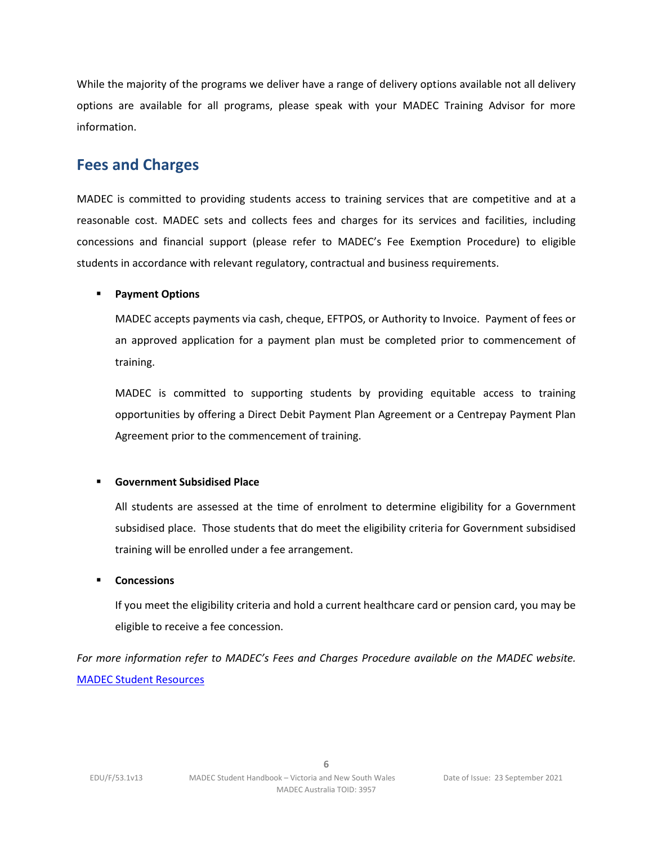While the majority of the programs we deliver have a range of delivery options available not all delivery options are available for all programs, please speak with your MADEC Training Advisor for more information.

## <span id="page-5-0"></span>**Fees and Charges**

MADEC is committed to providing students access to training services that are competitive and at a reasonable cost. MADEC sets and collects fees and charges for its services and facilities, including concessions and financial support (please refer to MADEC's Fee Exemption Procedure) to eligible students in accordance with relevant regulatory, contractual and business requirements.

## ▪ **Payment Options**

MADEC accepts payments via cash, cheque, EFTPOS, or Authority to Invoice. Payment of fees or an approved application for a payment plan must be completed prior to commencement of training.

MADEC is committed to supporting students by providing equitable access to training opportunities by offering a Direct Debit Payment Plan Agreement or a Centrepay Payment Plan Agreement prior to the commencement of training.

## ▪ **Government Subsidised Place**

All students are assessed at the time of enrolment to determine eligibility for a Government subsidised place. Those students that do meet the eligibility criteria for Government subsidised training will be enrolled under a fee arrangement.

## ▪ **Concessions**

If you meet the eligibility criteria and hold a current healthcare card or pension card, you may be eligible to receive a fee concession.

<span id="page-5-1"></span>*For more information refer to MADEC's Fees and Charges Procedure available on the MADEC website.* [MADEC Student Resources](https://www.madec.edu.au/education-training/student-info-resources-2/)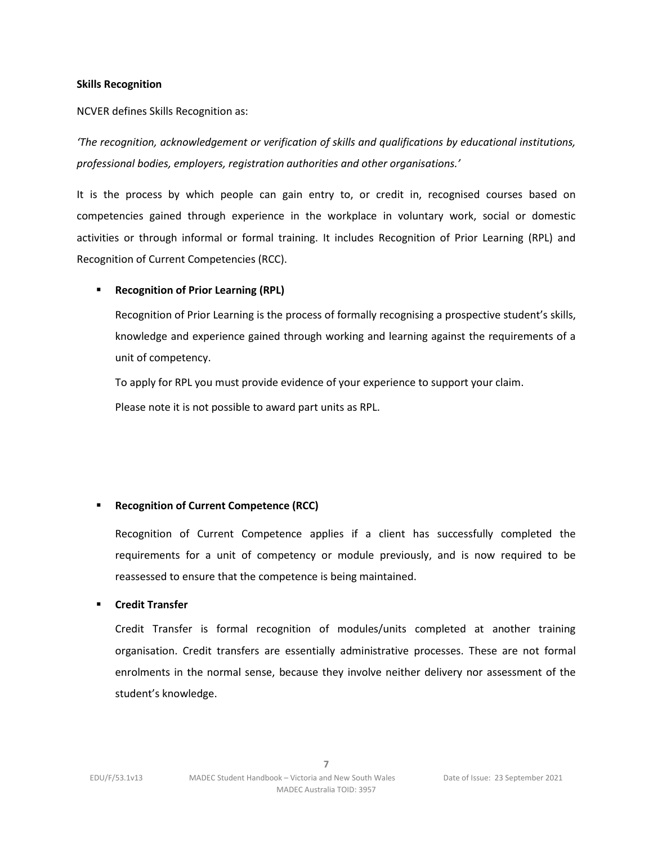#### **Skills Recognition**

NCVER defines Skills Recognition as:

*'The recognition, acknowledgement or verification of skills and qualifications by educational institutions, professional bodies, employers, registration authorities and other organisations.'*

It is the process by which people can gain entry to, or credit in, recognised courses based on competencies gained through experience in the workplace in voluntary work, social or domestic activities or through informal or formal training. It includes Recognition of Prior Learning (RPL) and Recognition of Current Competencies (RCC).

## **Recognition of Prior Learning (RPL)**

Recognition of Prior Learning is the process of formally recognising a prospective student's skills, knowledge and experience gained through working and learning against the requirements of a unit of competency.

To apply for RPL you must provide evidence of your experience to support your claim.

Please note it is not possible to award part units as RPL.

## ▪ **Recognition of Current Competence (RCC)**

Recognition of Current Competence applies if a client has successfully completed the requirements for a unit of competency or module previously, and is now required to be reassessed to ensure that the competence is being maintained.

#### ▪ **Credit Transfer**

Credit Transfer is formal recognition of modules/units completed at another training organisation. Credit transfers are essentially administrative processes. These are not formal enrolments in the normal sense, because they involve neither delivery nor assessment of the student's knowledge.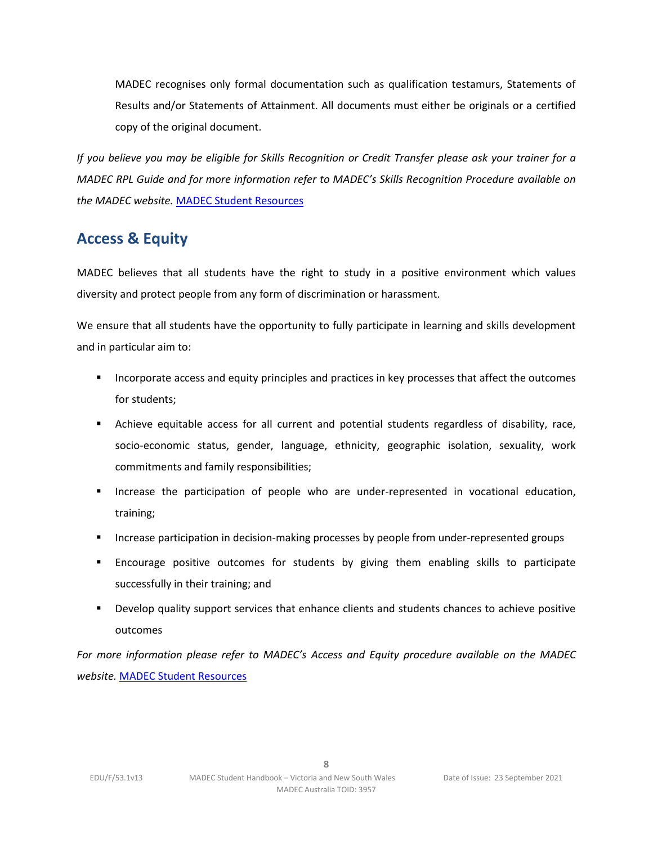MADEC recognises only formal documentation such as qualification testamurs, Statements of Results and/or Statements of Attainment. All documents must either be originals or a certified copy of the original document.

*If you believe you may be eligible for Skills Recognition or Credit Transfer please ask your trainer for a MADEC RPL Guide and for more information refer to MADEC's Skills Recognition Procedure available on the MADEC website.* [MADEC Student Resources](https://www.madec.edu.au/education-training/student-info-resources-2/)

# <span id="page-7-0"></span>**Access & Equity**

MADEC believes that all students have the right to study in a positive environment which values diversity and protect people from any form of discrimination or harassment.

We ensure that all students have the opportunity to fully participate in learning and skills development and in particular aim to:

- Incorporate access and equity principles and practices in key processes that affect the outcomes for students;
- Achieve equitable access for all current and potential students regardless of disability, race, socio-economic status, gender, language, ethnicity, geographic isolation, sexuality, work commitments and family responsibilities;
- **■** Increase the participation of people who are under-represented in vocational education, training;
- **EXED Increase participation in decision-making processes by people from under-represented groups**
- **Encourage positive outcomes for students by giving them enabling skills to participate** successfully in their training; and
- **■** Develop quality support services that enhance clients and students chances to achieve positive outcomes

*For more information please refer to MADEC's Access and Equity procedure available on the MADEC website.* [MADEC Student Resources](https://www.madec.edu.au/education-training/student-info-resources-2/)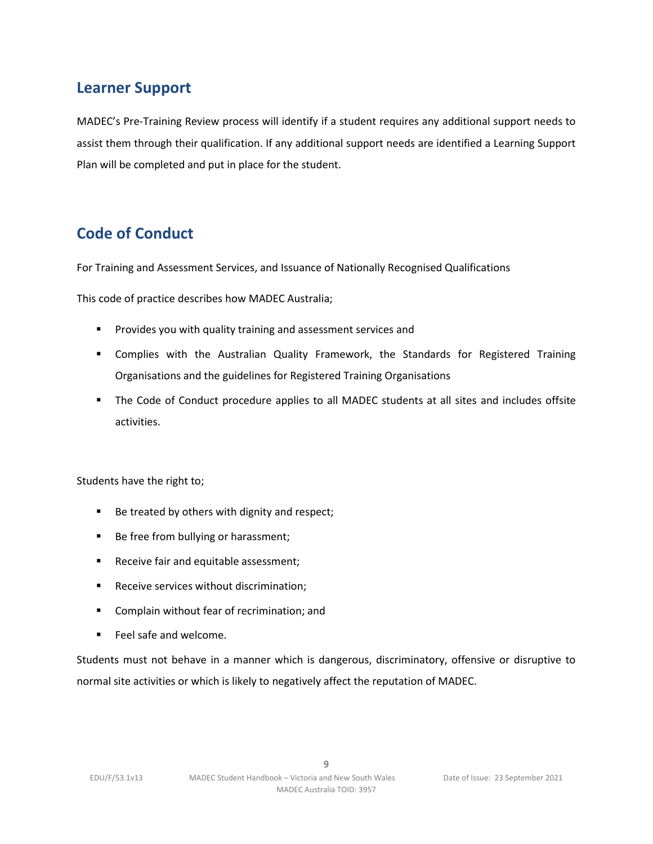# <span id="page-8-0"></span>**Learner Support**

MADEC's Pre-Training Review process will identify if a student requires any additional support needs to assist them through their qualification. If any additional support needs are identified a Learning Support Plan will be completed and put in place for the student.

# <span id="page-8-1"></span>**Code of Conduct**

For Training and Assessment Services, and Issuance of Nationally Recognised Qualifications

This code of practice describes how MADEC Australia;

- Provides you with quality training and assessment services and
- **•** Complies with the Australian Quality Framework, the Standards for Registered Training Organisations and the guidelines for Registered Training Organisations
- The Code of Conduct procedure applies to all MADEC students at all sites and includes offsite activities.

Students have the right to;

- Be treated by others with dignity and respect;
- Be free from bullying or harassment;
- Receive fair and equitable assessment;
- Receive services without discrimination;
- Complain without fear of recrimination; and
- Feel safe and welcome.

Students must not behave in a manner which is dangerous, discriminatory, offensive or disruptive to normal site activities or which is likely to negatively affect the reputation of MADEC.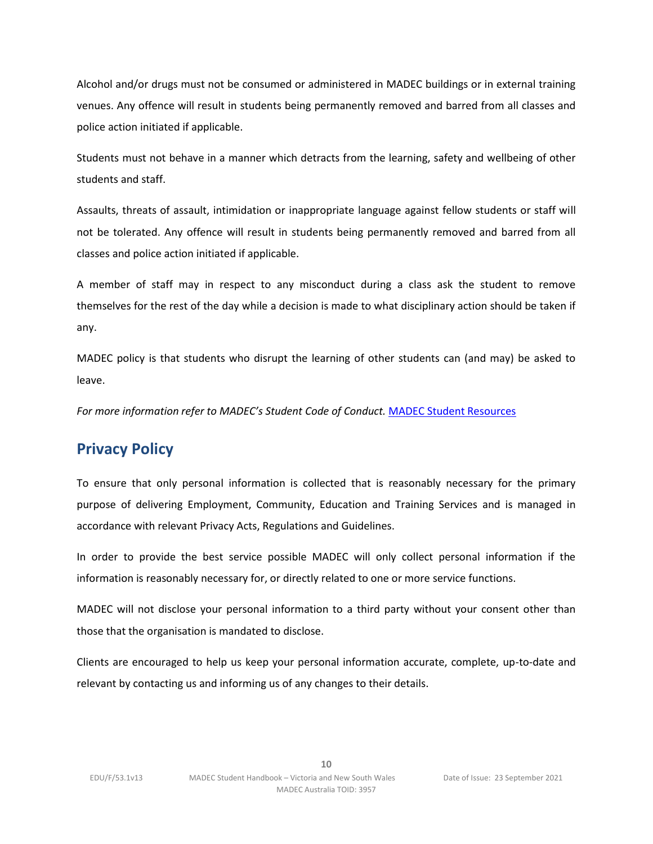Alcohol and/or drugs must not be consumed or administered in MADEC buildings or in external training venues. Any offence will result in students being permanently removed and barred from all classes and police action initiated if applicable.

Students must not behave in a manner which detracts from the learning, safety and wellbeing of other students and staff.

Assaults, threats of assault, intimidation or inappropriate language against fellow students or staff will not be tolerated. Any offence will result in students being permanently removed and barred from all classes and police action initiated if applicable.

A member of staff may in respect to any misconduct during a class ask the student to remove themselves for the rest of the day while a decision is made to what disciplinary action should be taken if any.

MADEC policy is that students who disrupt the learning of other students can (and may) be asked to leave.

*For more information refer to MADEC's Student Code of Conduct.* [MADEC Student Resources](https://www.madec.edu.au/education-training/student-info-resources-2/)

# <span id="page-9-0"></span>**Privacy Policy**

To ensure that only personal information is collected that is reasonably necessary for the primary purpose of delivering Employment, Community, Education and Training Services and is managed in accordance with relevant Privacy Acts, Regulations and Guidelines.

In order to provide the best service possible MADEC will only collect personal information if the information is reasonably necessary for, or directly related to one or more service functions.

MADEC will not disclose your personal information to a third party without your consent other than those that the organisation is mandated to disclose.

Clients are encouraged to help us keep your personal information accurate, complete, up-to-date and relevant by contacting us and informing us of any changes to their details.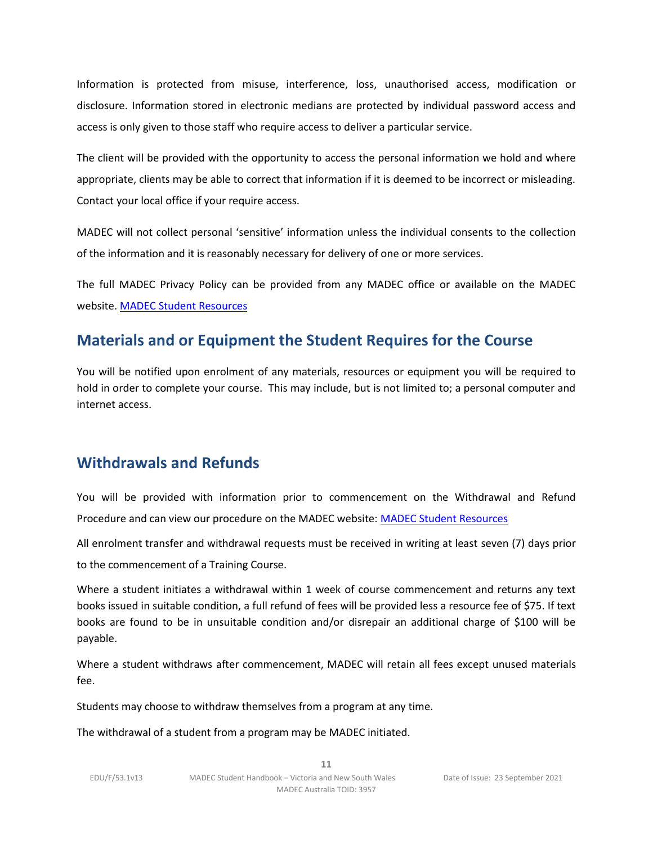Information is protected from misuse, interference, loss, unauthorised access, modification or disclosure. Information stored in electronic medians are protected by individual password access and access is only given to those staff who require access to deliver a particular service.

The client will be provided with the opportunity to access the personal information we hold and where appropriate, clients may be able to correct that information if it is deemed to be incorrect or misleading. Contact your local office if your require access.

MADEC will not collect personal 'sensitive' information unless the individual consents to the collection of the information and it is reasonably necessary for delivery of one or more services.

The full MADEC Privacy Policy can be provided from any MADEC office or available on the MADEC website. [MADEC Student Resources](https://www.madec.edu.au/education-training/student-info-resources-2/)

# <span id="page-10-0"></span>**Materials and or Equipment the Student Requires for the Course**

You will be notified upon enrolment of any materials, resources or equipment you will be required to hold in order to complete your course. This may include, but is not limited to; a personal computer and internet access.

# **Withdrawals and Refunds**

You will be provided with information prior to commencement on the Withdrawal and Refund Procedure and can view our procedure on the MADEC website: [MADEC Student Resources](https://www.madec.edu.au/education-training/student-info-resources-2/)

All enrolment transfer and withdrawal requests must be received in writing at least seven (7) days prior to the commencement of a Training Course.

Where a student initiates a withdrawal within 1 week of course commencement and returns any text books issued in suitable condition, a full refund of fees will be provided less a resource fee of \$75. If text books are found to be in unsuitable condition and/or disrepair an additional charge of \$100 will be payable.

Where a student withdraws after commencement, MADEC will retain all fees except unused materials fee.

Students may choose to withdraw themselves from a program at any time.

The withdrawal of a student from a program may be MADEC initiated.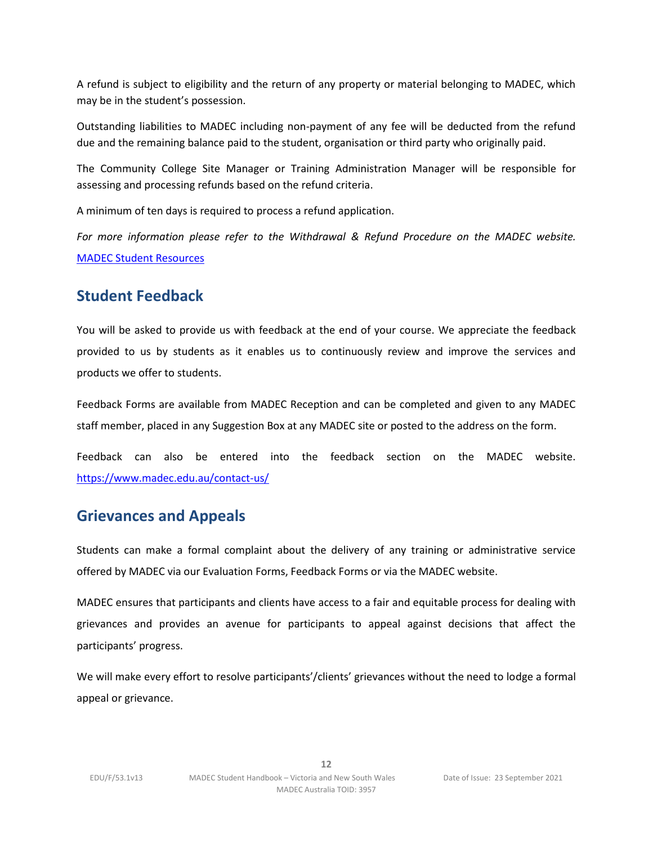A refund is subject to eligibility and the return of any property or material belonging to MADEC, which may be in the student's possession.

Outstanding liabilities to MADEC including non-payment of any fee will be deducted from the refund due and the remaining balance paid to the student, organisation or third party who originally paid.

The Community College Site Manager or Training Administration Manager will be responsible for assessing and processing refunds based on the refund criteria.

A minimum of ten days is required to process a refund application.

*For more information please refer to the Withdrawal & Refund Procedure on the MADEC website.* [MADEC Student Resources](https://www.madec.edu.au/education-training/student-info-resources-2/)

# <span id="page-11-0"></span>**Student Feedback**

You will be asked to provide us with feedback at the end of your course. We appreciate the feedback provided to us by students as it enables us to continuously review and improve the services and products we offer to students.

Feedback Forms are available from MADEC Reception and can be completed and given to any MADEC staff member, placed in any Suggestion Box at any MADEC site or posted to the address on the form.

Feedback can also be entered into the feedback section on the MADEC website. <https://www.madec.edu.au/contact-us/>

## <span id="page-11-1"></span>**Grievances and Appeals**

Students can make a formal complaint about the delivery of any training or administrative service offered by MADEC via our Evaluation Forms, Feedback Forms or via the MADEC website.

MADEC ensures that participants and clients have access to a fair and equitable process for dealing with grievances and provides an avenue for participants to appeal against decisions that affect the participants' progress.

We will make every effort to resolve participants'/clients' grievances without the need to lodge a formal appeal or grievance.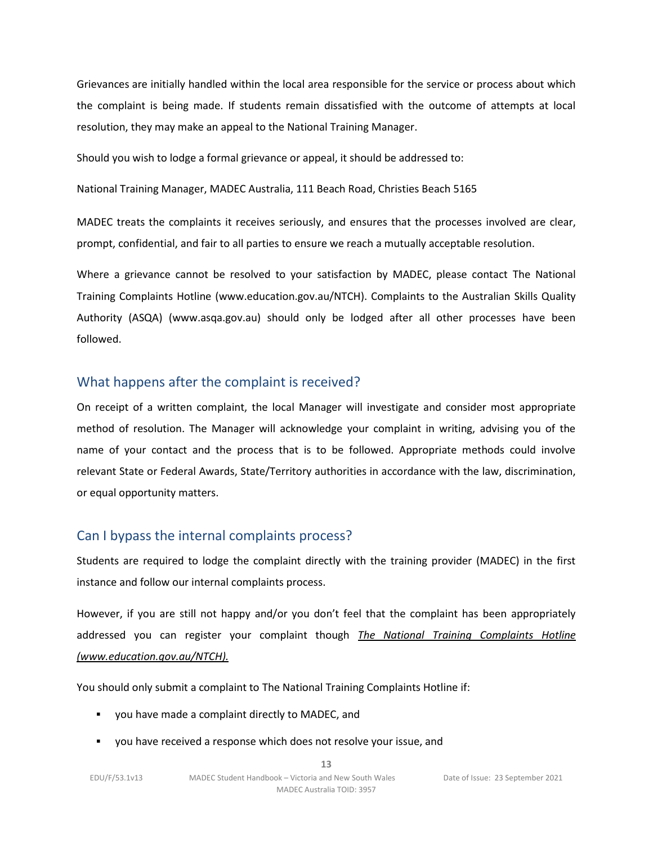Grievances are initially handled within the local area responsible for the service or process about which the complaint is being made. If students remain dissatisfied with the outcome of attempts at local resolution, they may make an appeal to the National Training Manager.

Should you wish to lodge a formal grievance or appeal, it should be addressed to:

National Training Manager, MADEC Australia, 111 Beach Road, Christies Beach 5165

MADEC treats the complaints it receives seriously, and ensures that the processes involved are clear, prompt, confidential, and fair to all parties to ensure we reach a mutually acceptable resolution.

Where a grievance cannot be resolved to your satisfaction by MADEC, please contact The National Training Complaints Hotline (www.education.gov.au/NTCH). Complaints to the Australian Skills Quality Authority (ASQA) (www.asqa.gov.au) should only be lodged after all other processes have been followed.

## What happens after the complaint is received?

On receipt of a written complaint, the local Manager will investigate and consider most appropriate method of resolution. The Manager will acknowledge your complaint in writing, advising you of the name of your contact and the process that is to be followed. Appropriate methods could involve relevant State or Federal Awards, State/Territory authorities in accordance with the law, discrimination, or equal opportunity matters.

## Can I bypass the internal complaints process?

Students are required to lodge the complaint directly with the training provider (MADEC) in the first instance and follow our internal complaints process.

However, if you are still not happy and/or you don't feel that the complaint has been appropriately addressed you can register your complaint though *The National Training Complaints Hotline (www.education.gov.au/NTCH).*

You should only submit a complaint to The National Training Complaints Hotline if:

- you have made a complaint directly to MADEC, and
- you have received a response which does not resolve your issue, and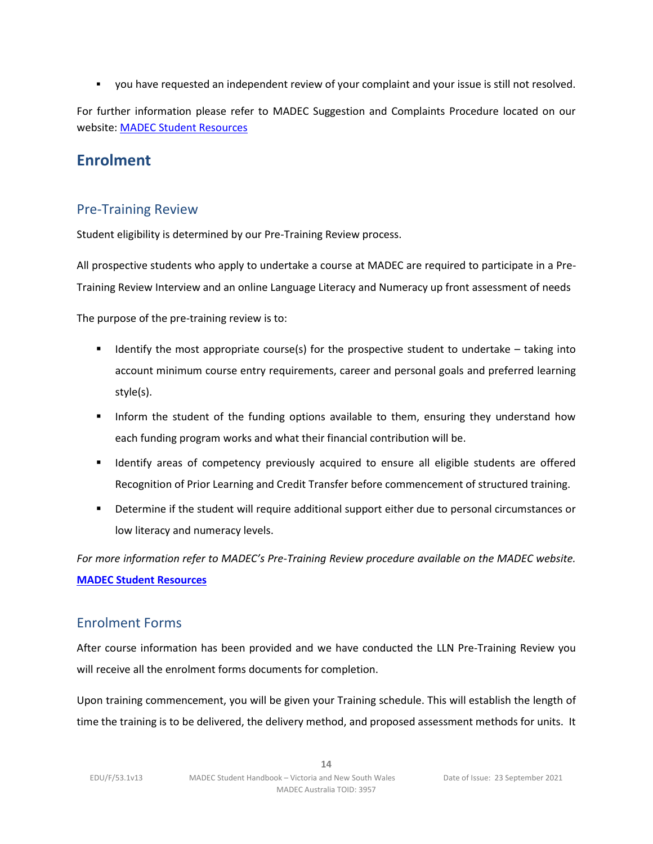▪ you have requested an independent review of your complaint and your issue is still not resolved.

For further information please refer to MADEC Suggestion and Complaints Procedure located on our website[: MADEC Student Resources](https://www.madec.edu.au/education-training/student-info-resources-2/)

## <span id="page-13-0"></span>**Enrolment**

## Pre-Training Review

Student eligibility is determined by our Pre-Training Review process.

All prospective students who apply to undertake a course at MADEC are required to participate in a Pre-Training Review Interview and an online Language Literacy and Numeracy up front assessment of needs

The purpose of the pre-training review is to:

- **■** Identify the most appropriate course(s) for the prospective student to undertake  $-$  taking into account minimum course entry requirements, career and personal goals and preferred learning style(s).
- **■** Inform the student of the funding options available to them, ensuring they understand how each funding program works and what their financial contribution will be.
- **■** Identify areas of competency previously acquired to ensure all eligible students are offered Recognition of Prior Learning and Credit Transfer before commencement of structured training.
- Determine if the student will require additional support either due to personal circumstances or low literacy and numeracy levels.

*For more information refer to MADEC's Pre-Training Review procedure available on the MADEC website.*  **[MADEC Student Resources](https://www.madec.edu.au/education-training/student-info-resources-2/)**

## Enrolment Forms

After course information has been provided and we have conducted the LLN Pre-Training Review you will receive all the enrolment forms documents for completion.

Upon training commencement, you will be given your Training schedule. This will establish the length of time the training is to be delivered, the delivery method, and proposed assessment methods for units. It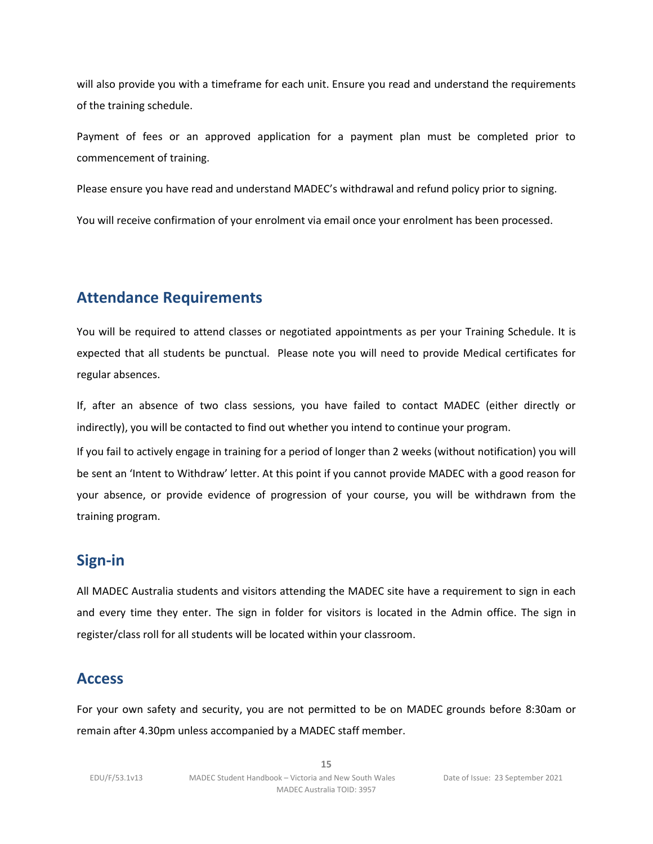will also provide you with a timeframe for each unit. Ensure you read and understand the requirements of the training schedule.

Payment of fees or an approved application for a payment plan must be completed prior to commencement of training.

Please ensure you have read and understand MADEC's withdrawal and refund policy prior to signing.

<span id="page-14-0"></span>You will receive confirmation of your enrolment via email once your enrolment has been processed.

# **Attendance Requirements**

You will be required to attend classes or negotiated appointments as per your Training Schedule. It is expected that all students be punctual. Please note you will need to provide Medical certificates for regular absences.

If, after an absence of two class sessions, you have failed to contact MADEC (either directly or indirectly), you will be contacted to find out whether you intend to continue your program.

If you fail to actively engage in training for a period of longer than 2 weeks (without notification) you will be sent an 'Intent to Withdraw' letter. At this point if you cannot provide MADEC with a good reason for your absence, or provide evidence of progression of your course, you will be withdrawn from the training program.

## **Sign-in**

All MADEC Australia students and visitors attending the MADEC site have a requirement to sign in each and every time they enter. The sign in folder for visitors is located in the Admin office. The sign in register/class roll for all students will be located within your classroom.

## **Access**

For your own safety and security, you are not permitted to be on MADEC grounds before 8:30am or remain after 4.30pm unless accompanied by a MADEC staff member.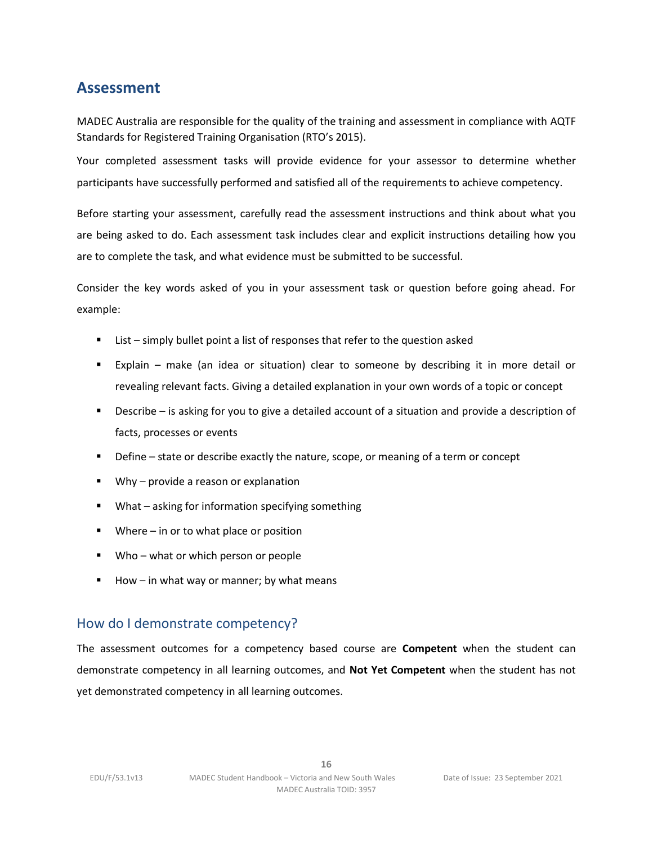## <span id="page-15-0"></span>**Assessment**

MADEC Australia are responsible for the quality of the training and assessment in compliance with AQTF Standards for Registered Training Organisation (RTO's 2015).

Your completed assessment tasks will provide evidence for your assessor to determine whether participants have successfully performed and satisfied all of the requirements to achieve competency.

Before starting your assessment, carefully read the assessment instructions and think about what you are being asked to do. Each assessment task includes clear and explicit instructions detailing how you are to complete the task, and what evidence must be submitted to be successful.

Consider the key words asked of you in your assessment task or question before going ahead. For example:

- List simply bullet point a list of responses that refer to the question asked
- Explain make (an idea or situation) clear to someone by describing it in more detail or revealing relevant facts. Giving a detailed explanation in your own words of a topic or concept
- Describe is asking for you to give a detailed account of a situation and provide a description of facts, processes or events
- **EX** Define state or describe exactly the nature, scope, or meaning of a term or concept
- Why provide a reason or explanation
- What asking for information specifying something
- Where in or to what place or position
- Who what or which person or people
- $\blacksquare$  How in what way or manner; by what means

## How do I demonstrate competency?

The assessment outcomes for a competency based course are **Competent** when the student can demonstrate competency in all learning outcomes, and **Not Yet Competent** when the student has not yet demonstrated competency in all learning outcomes.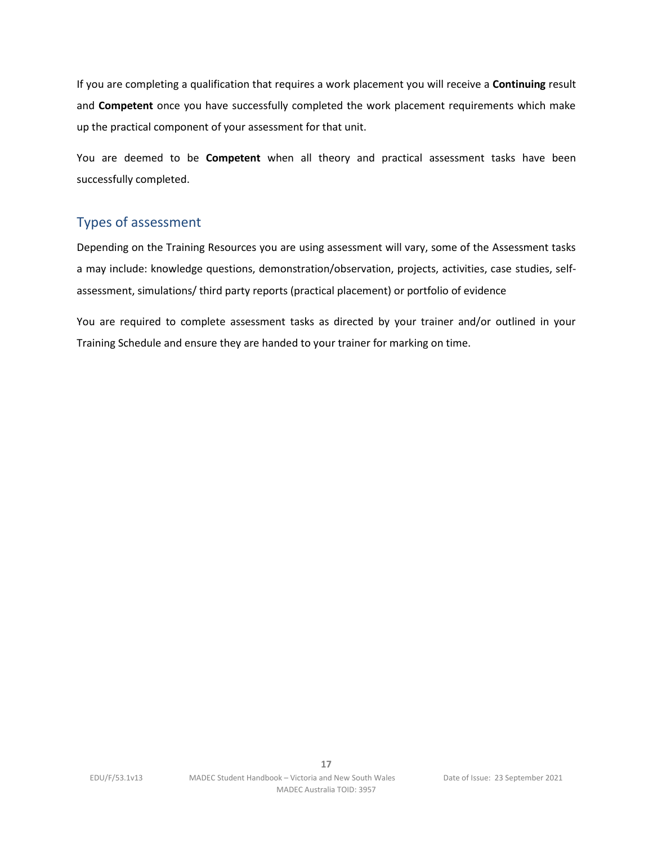If you are completing a qualification that requires a work placement you will receive a **Continuing** result and **Competent** once you have successfully completed the work placement requirements which make up the practical component of your assessment for that unit.

You are deemed to be **Competent** when all theory and practical assessment tasks have been successfully completed.

## Types of assessment

Depending on the Training Resources you are using assessment will vary, some of the Assessment tasks a may include: knowledge questions, demonstration/observation, projects, activities, case studies, selfassessment, simulations/ third party reports (practical placement) or portfolio of evidence

You are required to complete assessment tasks as directed by your trainer and/or outlined in your Training Schedule and ensure they are handed to your trainer for marking on time.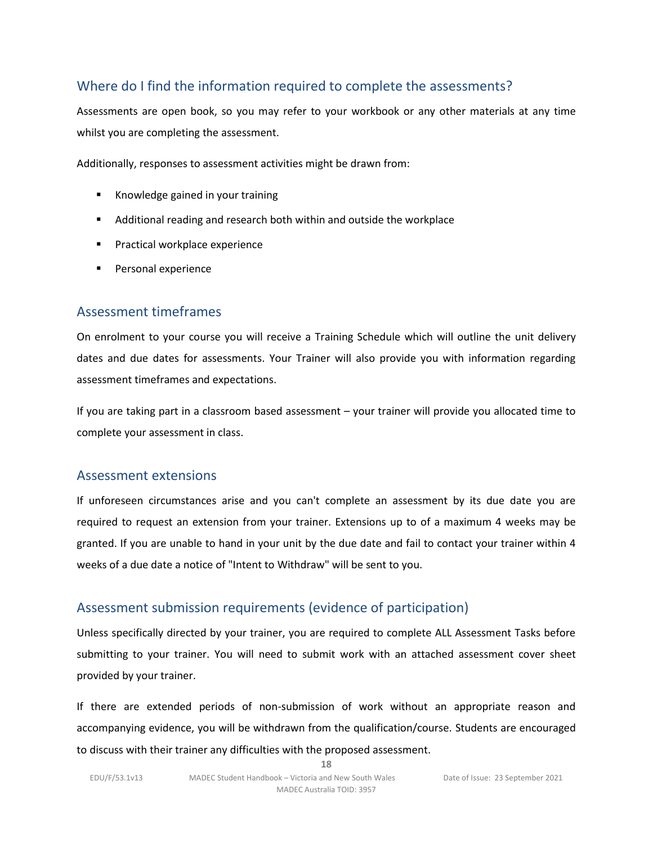## Where do I find the information required to complete the assessments?

Assessments are open book, so you may refer to your workbook or any other materials at any time whilst you are completing the assessment.

Additionally, responses to assessment activities might be drawn from:

- Knowledge gained in your training
- Additional reading and research both within and outside the workplace
- Practical workplace experience
- Personal experience

## Assessment timeframes

On enrolment to your course you will receive a Training Schedule which will outline the unit delivery dates and due dates for assessments. Your Trainer will also provide you with information regarding assessment timeframes and expectations.

If you are taking part in a classroom based assessment – your trainer will provide you allocated time to complete your assessment in class.

## Assessment extensions

If unforeseen circumstances arise and you can't complete an assessment by its due date you are required to request an extension from your trainer. Extensions up to of a maximum 4 weeks may be granted. If you are unable to hand in your unit by the due date and fail to contact your trainer within 4 weeks of a due date a notice of "Intent to Withdraw" will be sent to you.

## Assessment submission requirements (evidence of participation)

Unless specifically directed by your trainer, you are required to complete ALL Assessment Tasks before submitting to your trainer. You will need to submit work with an attached assessment cover sheet provided by your trainer.

If there are extended periods of non-submission of work without an appropriate reason and accompanying evidence, you will be withdrawn from the qualification/course. Students are encouraged to discuss with their trainer any difficulties with the proposed assessment.

**18**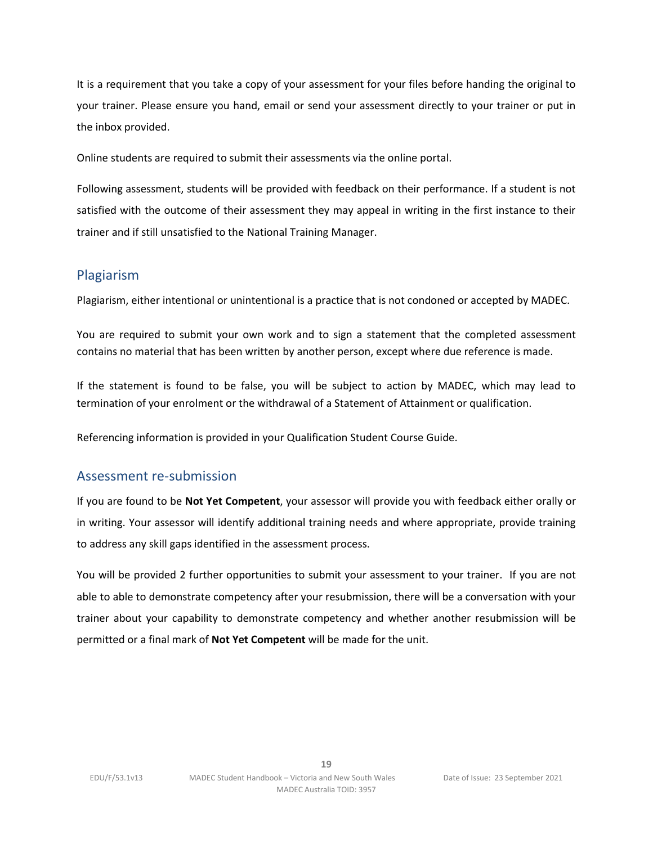It is a requirement that you take a copy of your assessment for your files before handing the original to your trainer. Please ensure you hand, email or send your assessment directly to your trainer or put in the inbox provided.

Online students are required to submit their assessments via the online portal.

Following assessment, students will be provided with feedback on their performance. If a student is not satisfied with the outcome of their assessment they may appeal in writing in the first instance to their trainer and if still unsatisfied to the National Training Manager.

## Plagiarism

Plagiarism, either intentional or unintentional is a practice that is not condoned or accepted by MADEC.

You are required to submit your own work and to sign a statement that the completed assessment contains no material that has been written by another person, except where due reference is made.

If the statement is found to be false, you will be subject to action by MADEC, which may lead to termination of your enrolment or the withdrawal of a Statement of Attainment or qualification.

Referencing information is provided in your Qualification Student Course Guide.

## Assessment re-submission

If you are found to be **Not Yet Competent**, your assessor will provide you with feedback either orally or in writing. Your assessor will identify additional training needs and where appropriate, provide training to address any skill gaps identified in the assessment process.

You will be provided 2 further opportunities to submit your assessment to your trainer. If you are not able to able to demonstrate competency after your resubmission, there will be a conversation with your trainer about your capability to demonstrate competency and whether another resubmission will be permitted or a final mark of **Not Yet Competent** will be made for the unit.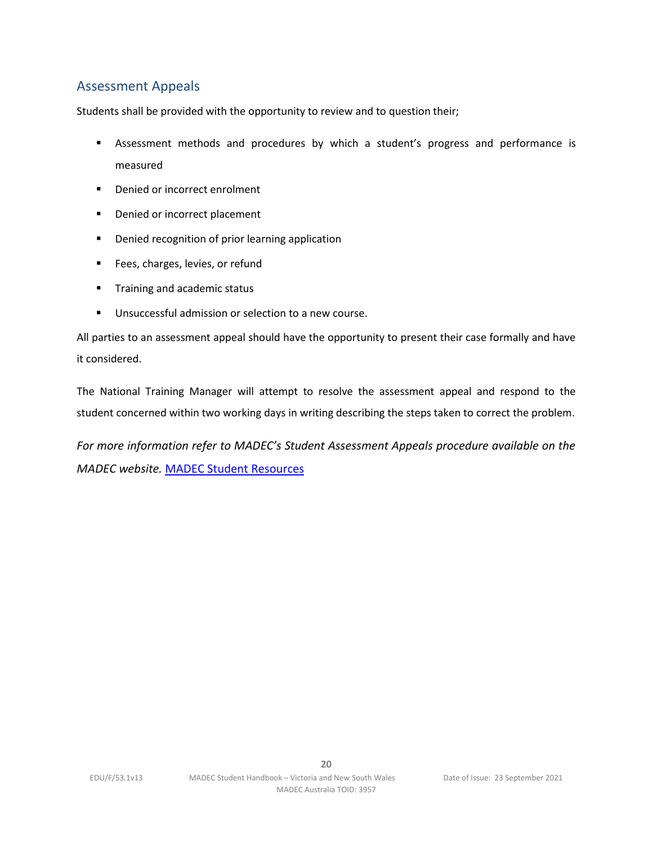## Assessment Appeals

Students shall be provided with the opportunity to review and to question their;

- **■** Assessment methods and procedures by which a student's progress and performance is measured
- Denied or incorrect enrolment
- Denied or incorrect placement
- Denied recognition of prior learning application
- Fees, charges, levies, or refund
- **■** Training and academic status
- Unsuccessful admission or selection to a new course.

All parties to an assessment appeal should have the opportunity to present their case formally and have it considered.

The National Training Manager will attempt to resolve the assessment appeal and respond to the student concerned within two working days in writing describing the steps taken to correct the problem.

*For more information refer to MADEC's Student Assessment Appeals procedure available on the MADEC website.* [MADEC Student Resources](https://www.madec.edu.au/education-training/student-info-resources-2/)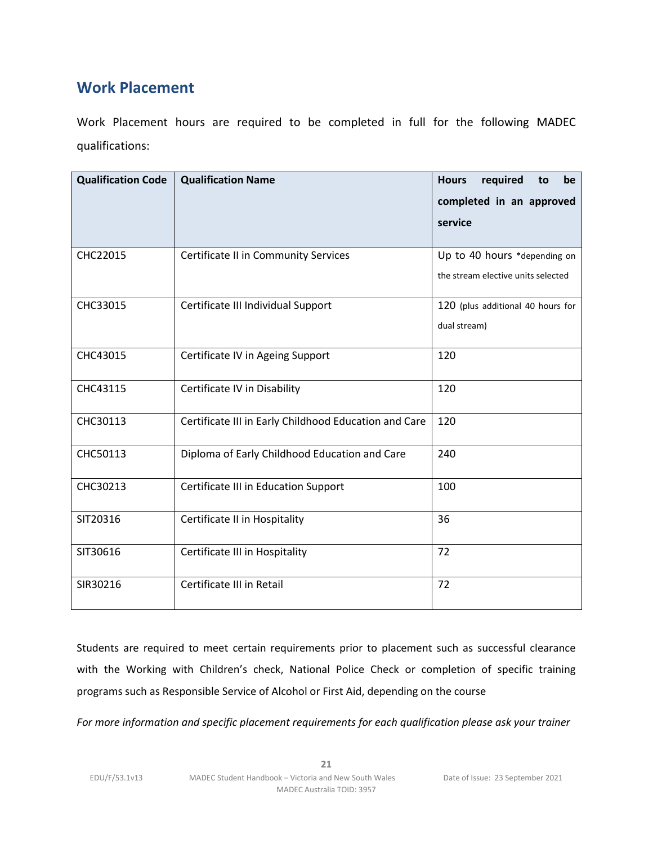# <span id="page-20-0"></span>**Work Placement**

Work Placement hours are required to be completed in full for the following MADEC qualifications:

| <b>Qualification Code</b> | <b>Qualification Name</b>                             | <b>Hours</b><br>required<br>be<br>to |
|---------------------------|-------------------------------------------------------|--------------------------------------|
|                           |                                                       | completed in an approved             |
|                           |                                                       | service                              |
|                           |                                                       |                                      |
| CHC22015                  | Certificate II in Community Services                  | Up to 40 hours *depending on         |
|                           |                                                       | the stream elective units selected   |
| CHC33015                  | Certificate III Individual Support                    | 120 (plus additional 40 hours for    |
|                           |                                                       | dual stream)                         |
| CHC43015                  | Certificate IV in Ageing Support                      | 120                                  |
| CHC43115                  | Certificate IV in Disability                          | 120                                  |
| CHC30113                  | Certificate III in Early Childhood Education and Care | 120                                  |
| CHC50113                  | Diploma of Early Childhood Education and Care         | 240                                  |
| CHC30213                  | Certificate III in Education Support                  | 100                                  |
| SIT20316                  | Certificate II in Hospitality                         | 36                                   |
| SIT30616                  | Certificate III in Hospitality                        | 72                                   |
| SIR30216                  | Certificate III in Retail                             | 72                                   |

Students are required to meet certain requirements prior to placement such as successful clearance with the Working with Children's check, National Police Check or completion of specific training programs such as Responsible Service of Alcohol or First Aid, depending on the course

*For more information and specific placement requirements for each qualification please ask your trainer*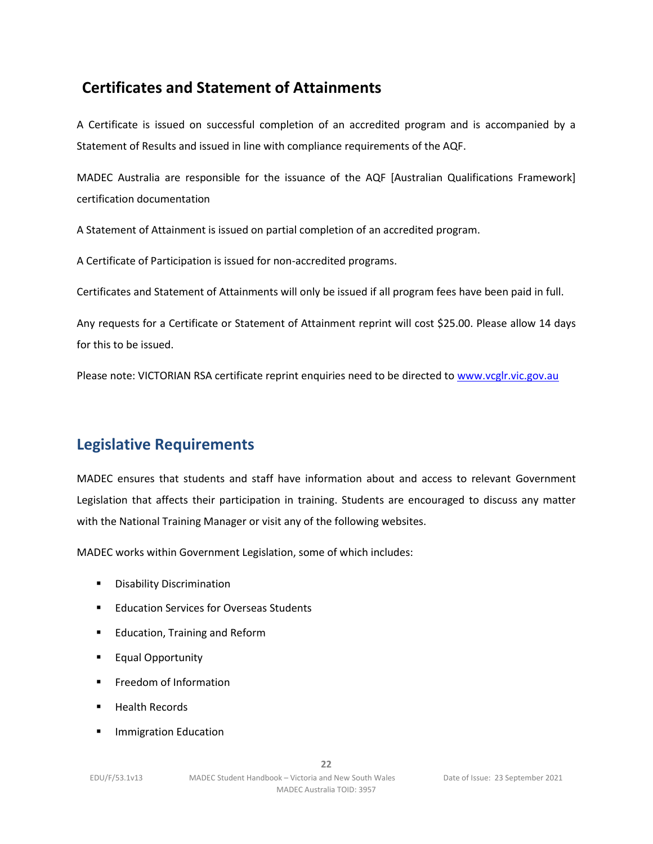# **Certificates and Statement of Attainments**

A Certificate is issued on successful completion of an accredited program and is accompanied by a Statement of Results and issued in line with compliance requirements of the AQF.

MADEC Australia are responsible for the issuance of the AQF [Australian Qualifications Framework] certification documentation

A Statement of Attainment is issued on partial completion of an accredited program.

A Certificate of Participation is issued for non-accredited programs.

Certificates and Statement of Attainments will only be issued if all program fees have been paid in full.

Any requests for a Certificate or Statement of Attainment reprint will cost \$25.00. Please allow 14 days for this to be issued.

<span id="page-21-0"></span>Please note: VICTORIAN RSA certificate reprint enquiries need to be directed to [www.vcglr.vic.gov.au](http://www.vcglr.vic.gov.au/)

# **Legislative Requirements**

MADEC ensures that students and staff have information about and access to relevant Government Legislation that affects their participation in training. Students are encouraged to discuss any matter with the National Training Manager or visit any of the following websites.

MADEC works within Government Legislation, some of which includes:

- Disability Discrimination
- Education Services for Overseas Students
- Education, Training and Reform
- Equal Opportunity
- **•** Freedom of Information
- **Health Records**
- **■** Immigration Education

**22**